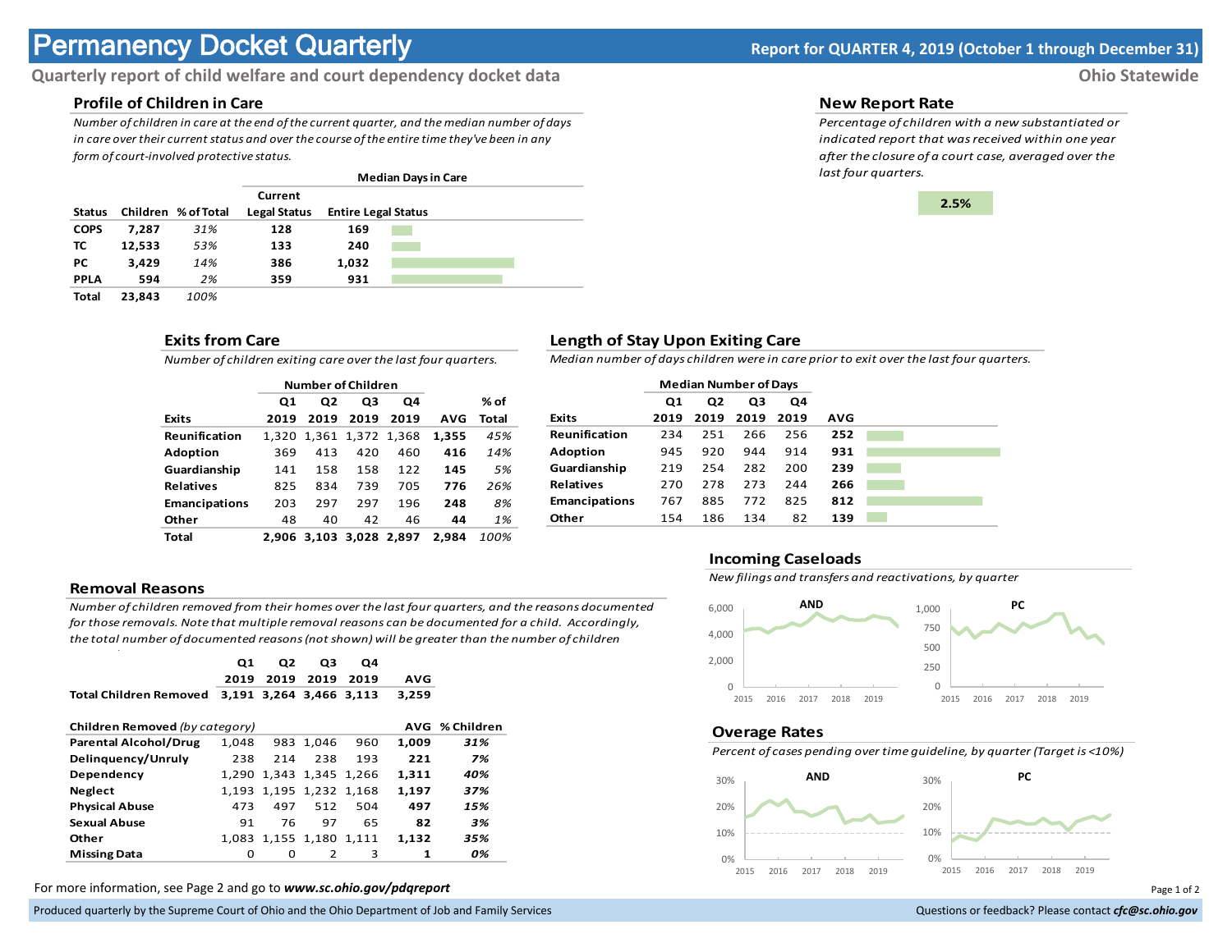# **Permanency Docket Quarterly Report for QUARTER 4, 2019 (October 1 through December 31)**

# **Quarterly report of child welfare and court dependency docket data Ohio Statewide**

# **Profile of Children in Care**

*Number of children in care at the end of the current quarter, and the median number of days in care over their current status and over the course of the entire time they've been in any form of court-involved protective status.*

|               |        |                     | <b>Median Days in Care</b> |                            |  |  |  |
|---------------|--------|---------------------|----------------------------|----------------------------|--|--|--|
|               |        |                     | Current                    |                            |  |  |  |
| <b>Status</b> |        | Children % of Total | Legal Status               | <b>Entire Legal Status</b> |  |  |  |
| <b>COPS</b>   | 7.287  | 31%                 | 128                        | 169                        |  |  |  |
| ΤС            | 12,533 | 53%                 | 133                        | 240                        |  |  |  |
| PС            | 3.429  | 14%                 | 386                        | 1.032                      |  |  |  |
| <b>PPLA</b>   | 594    | 2%                  | 359                        | 931                        |  |  |  |
| Total         | 23.843 | 100%                |                            |                            |  |  |  |

### **Exits from Care**

*Number of children exiting care over the last four quarters.*

|                      | <b>Number of Children</b> |                |                   |      |            |       |
|----------------------|---------------------------|----------------|-------------------|------|------------|-------|
|                      | Q1                        | Q <sub>2</sub> | Q3                | Q4   |            | % of  |
| <b>Exits</b>         | 2019                      | 2019           | 2019              | 2019 | <b>AVG</b> | Total |
| Reunification        | 1.320                     |                | 1,361 1,372 1,368 |      | 1.355      | 45%   |
| <b>Adoption</b>      | 369                       | 413            | 420               | 460  | 416        | 14%   |
| Guardianship         | 141                       | 158            | 158               | 122  | 145        | 5%    |
| <b>Relatives</b>     | 825                       | 834            | 739               | 705  | 776        | 26%   |
| <b>Emancipations</b> | 203                       | 297            | 297               | 196  | 248        | 8%    |
| Other                | 48                        | 40             | 42                | 46   | 44         | 1%    |
| Total                | 2.906                     |                | 3.103 3.028 2.897 |      | 2.984      | 100%  |

#### **Removal Reasons**

*Number of children removed from their homes over the last four quarters, and the reasons documented for those removals. Note that multiple removal reasons can be documented for a child. Accordingly, the total number of documented reasons (not shown) will be greater than the number of children* 

|                                                  | Q1<br>2019 | Q <sub>2</sub><br>2019  | Q3<br>2019 | Q4<br>2019 | <b>AVG</b> |     |  |
|--------------------------------------------------|------------|-------------------------|------------|------------|------------|-----|--|
| <b>Total Children Removed</b>                    |            | 3.191 3.264 3.466 3.113 |            |            | 3,259      |     |  |
| AVG % Children<br>Children Removed (by category) |            |                         |            |            |            |     |  |
| <b>Parental Alcohol/Drug</b>                     | 1.048      |                         | 983 1,046  | 960        | 1.009      | 31% |  |
| Delinguency/Unruly                               | 238        | 214                     | 238        | 193        | 221        | 7%  |  |
| Dependency                                       |            | 1.290 1.343 1.345 1.266 |            |            | 1,311      | 40% |  |
| <b>Neglect</b>                                   |            | 1,193 1,195 1,232 1,168 |            |            | 1,197      | 37% |  |
| <b>Physical Abuse</b>                            | 473        | 497                     | 512        | 504        | 497        | 15% |  |
| <b>Sexual Abuse</b>                              | 91         | 76                      | 97         | 65         | 82         | 3%  |  |
| Other                                            |            | 1,083 1,155 1,180 1,111 |            |            | 1.132      | 35% |  |
| <b>Missing Data</b>                              | 0          | O                       | 2          | 3          | 1          | 0%  |  |

For more information, see Page 2 and go to *www.sc.ohio.gov/pdqreport* examples and the example of 2 and 2 of 2 and 2 of 2 and 2 of 2 and 2 of 2 and 2 of 2 and 2 of 2 and 2 of 2 and 2 of 2 and 2 of 2 and 2 of 2 and 2 of 2

Produced quarterly by the Supreme Court of Ohio and the Ohio Department of Job and Family Services **Department** of *Services* Court of Ohio and the Ohio Department of Job and Family Services **Computer of the County of Cour** 

#### **New Report Rate**

*Percentage of children with a new substantiated or indicated report that was received within one year after the closure of a court case, averaged over the last four quarters.*



## **Length of Stay Upon Exiting Care**

*Median number of days children were in care prior to exit over the last four quarters.*

|                      | <b>Median Number of Days</b> |                |      |      |     |
|----------------------|------------------------------|----------------|------|------|-----|
|                      | Q1                           | Q <sub>2</sub> | Q3   | Q4   |     |
| <b>Exits</b>         | 2019                         | 2019           | 2019 | 2019 | AVG |
| Reunification        | 234                          | 251            | 266  | 256  | 252 |
| <b>Adoption</b>      | 945                          | 920            | 944  | 914  | 931 |
| Guardianship         | 219                          | 254            | 282  | 200  | 239 |
| <b>Relatives</b>     | 270                          | 278            | 273  | 244  | 266 |
| <b>Emancipations</b> | 767                          | 885            | 772  | 825  | 812 |
| Other                | 154                          | 186            | 134  | 82   | 139 |

### **Incoming Caseloads**

*New filings and transfers and reactivations, by quarter*



#### **Overage Rates**

*Percent of cases pending over time guideline, by quarter (Target is <10%)*